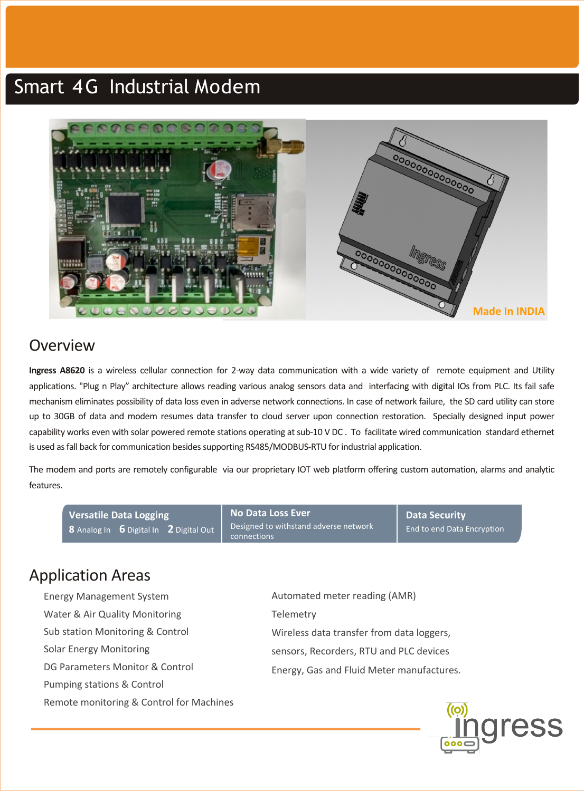# Smart 4G Industrial Modem



### Overview

**Ingress A8620** is a wireless cellular connection for 2-way data communication with a wide variety of remote equipment and Utility applications. "Plug n Play" architecture allows reading various analog sensors data and interfacing with digital IOs from PLC. Its fail safe mechanism eliminates possibility of data loss even in adverse network connections. In case of network failure, the SD card utility can store up to 30GB of data and modem resumes data transfer to cloud server upon connection restoration. Specially designed input power capability works even with solar powered remote stations operating at sub-10 V DC. To facilitate wired communication standard ethernet is used as fall back for communication besides supporting RS485/MODBUS-RTU for industrial application.

The modem and ports are remotely configurable via our proprietary IOT web platform offering custom automation, alarms and analytic features.

**Versatile Data Logging 8** Analog In **6** Digital In **2** Digital Out **No Data Loss Ever** Designed to withstand adverse network connections **Data Security** End to end Data Encryption

### Application Areas

- Energy Management System Water & Air Quality Monitoring Sub station Monitoring & Control Solar Energy Monitoring DG Parameters Monitor & Control Pumping stations & Control Remote monitoring & Control for Machines
- Automated meter reading (AMR) **Telemetry** Wireless data transfer from data loggers, sensors, Recorders, RTU and PLC devices Energy, Gas and Fluid Meter manufactures.